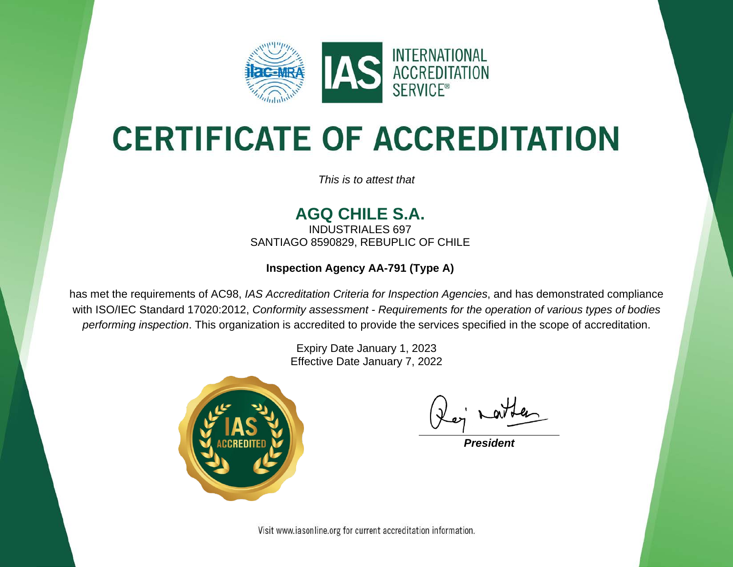

# **CERTIFICATE OF ACCREDITATION**

*This is to attest that*

## **AGQ CHILE S.A.**

INDUSTRIALES 697 SANTIAGO 8590829, REBUPLIC OF CHILE

#### **Inspection Agency AA-791 (Type A)**

has met the requirements of AC98, *IAS Accreditation Criteria for Inspection Agencies*, and has demonstrated compliance with ISO/IEC Standard 17020:2012, *Conformity assessment - Requirements for the operation of various types of bodies performing inspection*. This organization is accredited to provide the services specified in the scope of accreditation.

> Expiry Date January 1, 2023 Effective Date January 7, 2022



**President** 

Visit www.iasonline.org for current accreditation information.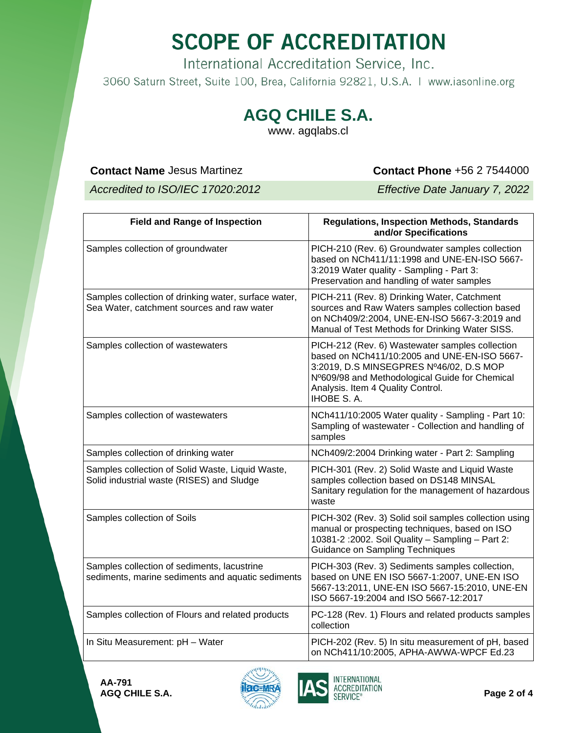## **SCOPE OF ACCREDITATION**

International Accreditation Service, Inc.

3060 Saturn Street, Suite 100, Brea, California 92821, U.S.A. | www.iasonline.org

### **AGQ CHILE S.A.**

www. agqlabs.cl

#### **Contact Name** Jesus Martinez **Contact Phone +56 2 7544000**

*Accredited to ISO/IEC 17020:2012 Effective Date January 7, 2022*

| <b>Field and Range of Inspection</b>                                                               | <b>Regulations, Inspection Methods, Standards</b><br>and/or Specifications                                                                                                                                                                      |
|----------------------------------------------------------------------------------------------------|-------------------------------------------------------------------------------------------------------------------------------------------------------------------------------------------------------------------------------------------------|
| Samples collection of groundwater                                                                  | PICH-210 (Rev. 6) Groundwater samples collection<br>based on NCh411/11:1998 and UNE-EN-ISO 5667-<br>3:2019 Water quality - Sampling - Part 3:<br>Preservation and handling of water samples                                                     |
| Samples collection of drinking water, surface water,<br>Sea Water, catchment sources and raw water | PICH-211 (Rev. 8) Drinking Water, Catchment<br>sources and Raw Waters samples collection based<br>on NCh409/2:2004, UNE-EN-ISO 5667-3:2019 and<br>Manual of Test Methods for Drinking Water SISS.                                               |
| Samples collection of wastewaters                                                                  | PICH-212 (Rev. 6) Wastewater samples collection<br>based on NCh411/10:2005 and UNE-EN-ISO 5667-<br>3:2019, D.S MINSEGPRES Nº46/02, D.S MOP<br>Nº609/98 and Methodological Guide for Chemical<br>Analysis. Item 4 Quality Control.<br>IHOBE S.A. |
| Samples collection of wastewaters                                                                  | NCh411/10:2005 Water quality - Sampling - Part 10:<br>Sampling of wastewater - Collection and handling of<br>samples                                                                                                                            |
| Samples collection of drinking water                                                               | NCh409/2:2004 Drinking water - Part 2: Sampling                                                                                                                                                                                                 |
| Samples collection of Solid Waste, Liquid Waste,<br>Solid industrial waste (RISES) and Sludge      | PICH-301 (Rev. 2) Solid Waste and Liquid Waste<br>samples collection based on DS148 MINSAL<br>Sanitary regulation for the management of hazardous<br>waste                                                                                      |
| Samples collection of Soils                                                                        | PICH-302 (Rev. 3) Solid soil samples collection using<br>manual or prospecting techniques, based on ISO<br>10381-2 : 2002. Soil Quality - Sampling - Part 2:<br><b>Guidance on Sampling Techniques</b>                                          |
| Samples collection of sediments, lacustrine<br>sediments, marine sediments and aquatic sediments   | PICH-303 (Rev. 3) Sediments samples collection,<br>based on UNE EN ISO 5667-1:2007, UNE-EN ISO<br>5667-13:2011, UNE-EN ISO 5667-15:2010, UNE-EN<br>ISO 5667-19:2004 and ISO 5667-12:2017                                                        |
| Samples collection of Flours and related products                                                  | PC-128 (Rev. 1) Flours and related products samples<br>collection                                                                                                                                                                               |
| In Situ Measurement: pH - Water                                                                    | PICH-202 (Rev. 5) In situ measurement of pH, based<br>on NCh411/10:2005, APHA-AWWA-WPCF Ed.23                                                                                                                                                   |



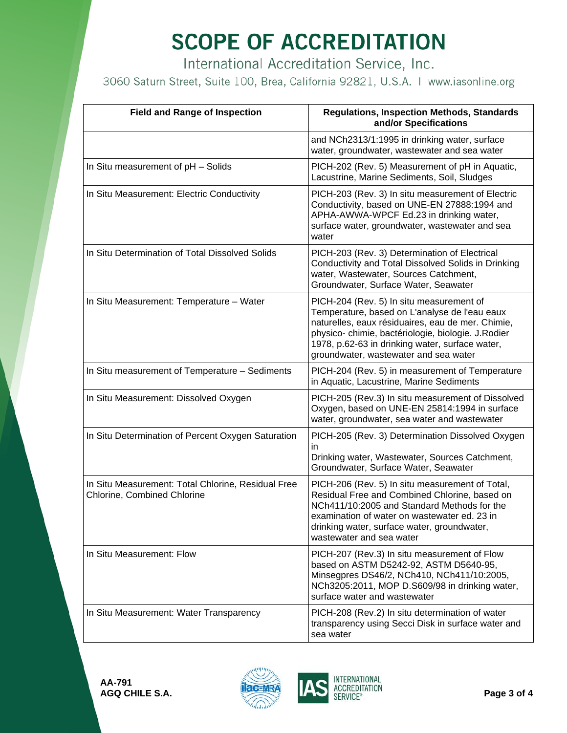# **SCOPE OF ACCREDITATION**

International Accreditation Service, Inc.

3060 Saturn Street, Suite 100, Brea, California 92821, U.S.A. | www.iasonline.org

| <b>Field and Range of Inspection</b>                                              | <b>Regulations, Inspection Methods, Standards</b><br>and/or Specifications                                                                                                                                                                                                                       |
|-----------------------------------------------------------------------------------|--------------------------------------------------------------------------------------------------------------------------------------------------------------------------------------------------------------------------------------------------------------------------------------------------|
|                                                                                   | and NCh2313/1:1995 in drinking water, surface<br>water, groundwater, wastewater and sea water                                                                                                                                                                                                    |
| In Situ measurement of pH - Solids                                                | PICH-202 (Rev. 5) Measurement of pH in Aquatic,<br>Lacustrine, Marine Sediments, Soil, Sludges                                                                                                                                                                                                   |
| In Situ Measurement: Electric Conductivity                                        | PICH-203 (Rev. 3) In situ measurement of Electric<br>Conductivity, based on UNE-EN 27888:1994 and<br>APHA-AWWA-WPCF Ed.23 in drinking water,<br>surface water, groundwater, wastewater and sea<br>water                                                                                          |
| In Situ Determination of Total Dissolved Solids                                   | PICH-203 (Rev. 3) Determination of Electrical<br>Conductivity and Total Dissolved Solids in Drinking<br>water, Wastewater, Sources Catchment,<br>Groundwater, Surface Water, Seawater                                                                                                            |
| In Situ Measurement: Temperature - Water                                          | PICH-204 (Rev. 5) In situ measurement of<br>Temperature, based on L'analyse de l'eau eaux<br>naturelles, eaux résiduaires, eau de mer. Chimie,<br>physico- chimie, bactériologie, biologie. J.Rodier<br>1978, p.62-63 in drinking water, surface water,<br>groundwater, wastewater and sea water |
| In Situ measurement of Temperature - Sediments                                    | PICH-204 (Rev. 5) in measurement of Temperature<br>in Aquatic, Lacustrine, Marine Sediments                                                                                                                                                                                                      |
| In Situ Measurement: Dissolved Oxygen                                             | PICH-205 (Rev.3) In situ measurement of Dissolved<br>Oxygen, based on UNE-EN 25814:1994 in surface<br>water, groundwater, sea water and wastewater                                                                                                                                               |
| In Situ Determination of Percent Oxygen Saturation                                | PICH-205 (Rev. 3) Determination Dissolved Oxygen<br>in<br>Drinking water, Wastewater, Sources Catchment,<br>Groundwater, Surface Water, Seawater                                                                                                                                                 |
| In Situ Measurement: Total Chlorine, Residual Free<br>Chlorine, Combined Chlorine | PICH-206 (Rev. 5) In situ measurement of Total,<br>Residual Free and Combined Chlorine, based on<br>NCh411/10:2005 and Standard Methods for the<br>examination of water on wastewater ed. 23 in<br>drinking water, surface water, groundwater,<br>wastewater and sea water                       |
| In Situ Measurement: Flow                                                         | PICH-207 (Rev.3) In situ measurement of Flow<br>based on ASTM D5242-92, ASTM D5640-95,<br>Minsegpres DS46/2, NCh410, NCh411/10:2005,<br>NCh3205:2011, MOP D.S609/98 in drinking water,<br>surface water and wastewater                                                                           |
| In Situ Measurement: Water Transparency                                           | PICH-208 (Rev.2) In situ determination of water<br>transparency using Secci Disk in surface water and<br>sea water                                                                                                                                                                               |